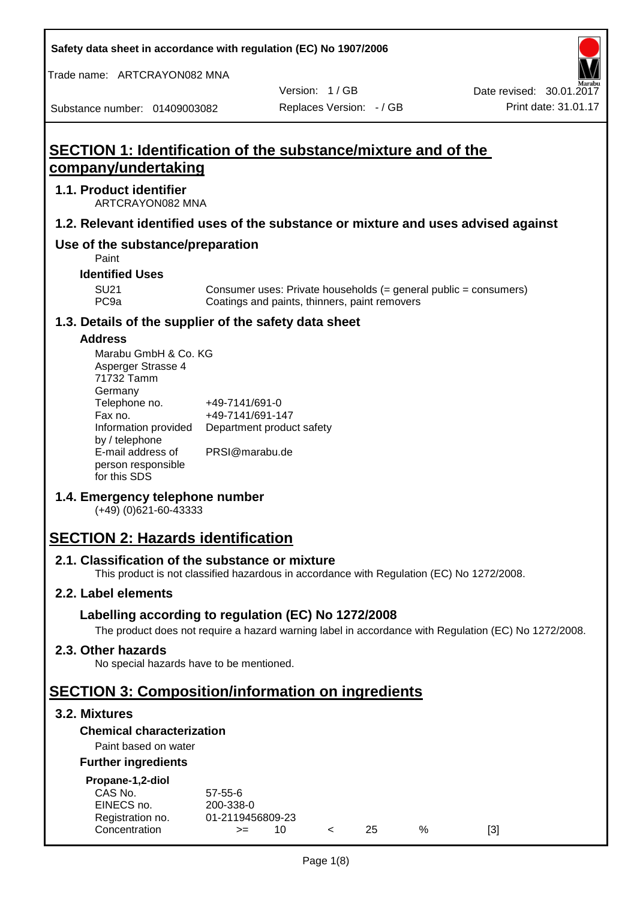**Safety data sheet in accordance with regulation (EC) No 1907/2006**

Trade name: ARTCRAYON082 MNA

Version: 1 / GB

Substance number: 01409003082

# **SECTION 1: Identification of the substance/mixture and of the company/undertaking**

## **1.1. Product identifier**

ARTCRAYON082 MNA

## **1.2. Relevant identified uses of the substance or mixture and uses advised against**

# **Use of the substance/preparation**

Paint

**Identified Uses**

SU21 Consumer uses: Private households (= general public = consumers)<br>PC9a Coatings and paints, thinners, paint removers Coatings and paints, thinners, paint removers

#### **1.3. Details of the supplier of the safety data sheet**

#### **Address**

| Marabu GmbH & Co. KG |                           |
|----------------------|---------------------------|
| Asperger Strasse 4   |                           |
| 71732 Tamm           |                           |
| Germany              |                           |
| Telephone no.        | +49-7141/691-0            |
| Fax no.              | +49-7141/691-147          |
| Information provided | Department product safety |
| by / telephone       |                           |
| E-mail address of    | PRSI@marabu.de            |
| person responsible   |                           |
| for this SDS         |                           |

## **1.4. Emergency telephone number**

(+49) (0)621-60-43333

# **SECTION 2: Hazards identification**

#### **2.1. Classification of the substance or mixture**

This product is not classified hazardous in accordance with Regulation (EC) No 1272/2008.

## **2.2. Label elements**

## **Labelling according to regulation (EC) No 1272/2008**

The product does not require a hazard warning label in accordance with Regulation (EC) No 1272/2008.

#### **2.3. Other hazards**

No special hazards have to be mentioned.

# **SECTION 3: Composition/information on ingredients**

## **3.2. Mixtures**

## **Chemical characterization**

## Paint based on water

#### **Further ingredients**

| Propane-1,2-diol |  |
|------------------|--|
|                  |  |

| CAS No.          | $57 - 55 - 6$    |  |     |   |     |
|------------------|------------------|--|-----|---|-----|
| EINECS no.       | 200-338-0        |  |     |   |     |
| Registration no. | 01-2119456809-23 |  |     |   |     |
| Concentration    | $>=$             |  | 25. | % | [3] |
|                  |                  |  |     |   |     |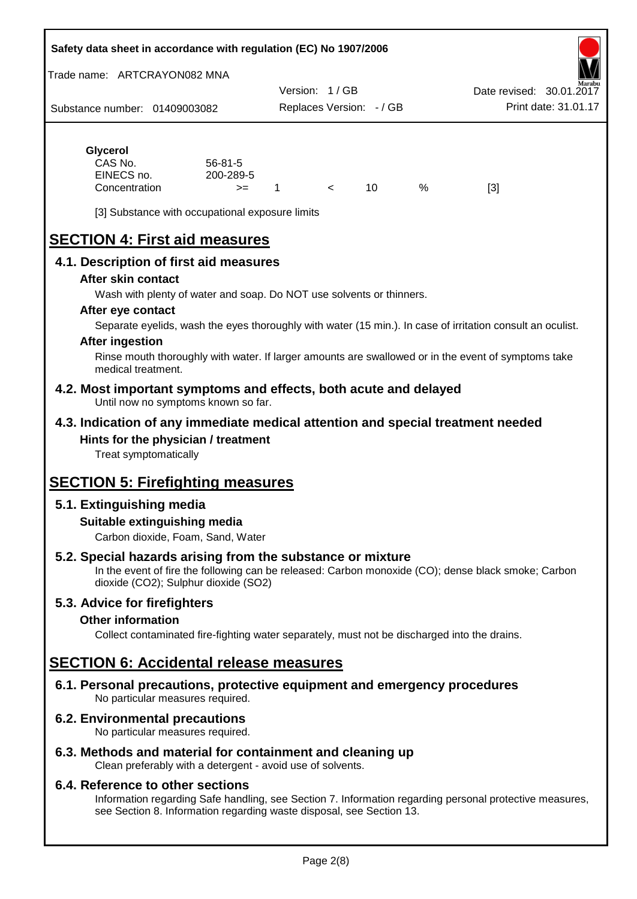#### **Safety data sheet in accordance with regulation (EC) No 1907/2006**

Trade name: ARTCRAYON082 MNA

Substance number: 01409003082 Version: 1 / GB Replaces Version: - / GB Print date: 31.01.17 Date revised: 30.01.2

# **Glycerol**

| CAS No.       | 56-81-5   |  |   |     |
|---------------|-----------|--|---|-----|
| EINECS no.    | 200-289-5 |  |   |     |
| Concentration | $>=$      |  | % | [3] |

[3] Substance with occupational exposure limits

# **SECTION 4: First aid measures**

## **4.1. Description of first aid measures**

#### **After skin contact**

Wash with plenty of water and soap. Do NOT use solvents or thinners.

#### **After eye contact**

Separate eyelids, wash the eyes thoroughly with water (15 min.). In case of irritation consult an oculist.

#### **After ingestion**

Rinse mouth thoroughly with water. If larger amounts are swallowed or in the event of symptoms take medical treatment.

#### **4.2. Most important symptoms and effects, both acute and delayed** Until now no symptoms known so far.

## **4.3. Indication of any immediate medical attention and special treatment needed Hints for the physician / treatment**

Treat symptomatically

# **SECTION 5: Firefighting measures**

## **5.1. Extinguishing media**

## **Suitable extinguishing media**

Carbon dioxide, Foam, Sand, Water

# **5.2. Special hazards arising from the substance or mixture**

In the event of fire the following can be released: Carbon monoxide (CO); dense black smoke; Carbon dioxide (CO2); Sulphur dioxide (SO2)

## **5.3. Advice for firefighters**

#### **Other information**

Collect contaminated fire-fighting water separately, must not be discharged into the drains.

# **SECTION 6: Accidental release measures**

**6.1. Personal precautions, protective equipment and emergency procedures** No particular measures required.

## **6.2. Environmental precautions**

No particular measures required.

## **6.3. Methods and material for containment and cleaning up**

Clean preferably with a detergent - avoid use of solvents.

#### **6.4. Reference to other sections**

Information regarding Safe handling, see Section 7. Information regarding personal protective measures, see Section 8. Information regarding waste disposal, see Section 13.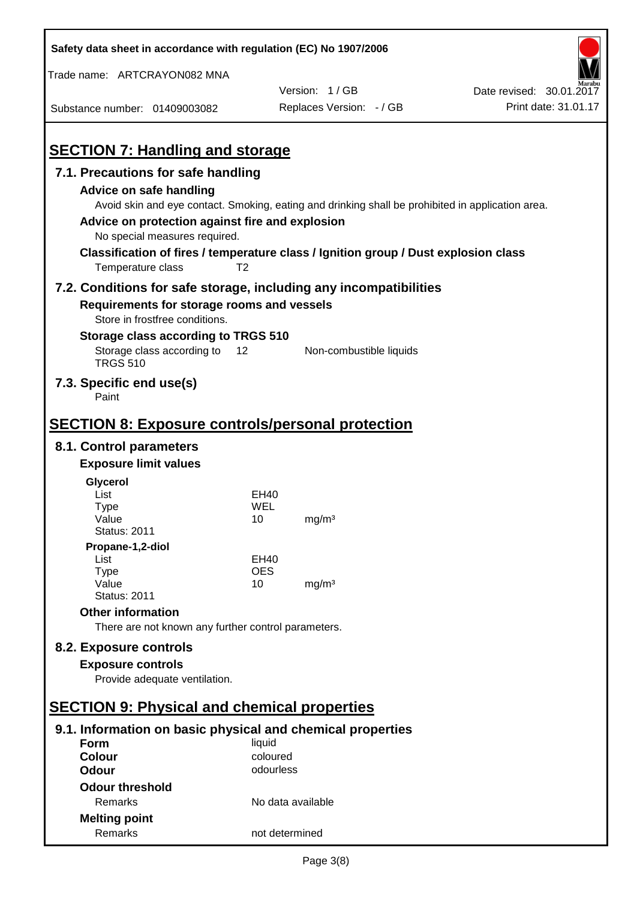| Safety data sheet in accordance with regulation (EC) No 1907/2006                   |                   |                                                                                                   |                          |
|-------------------------------------------------------------------------------------|-------------------|---------------------------------------------------------------------------------------------------|--------------------------|
| Trade name: ARTCRAYON082 MNA                                                        |                   |                                                                                                   |                          |
|                                                                                     |                   | Version: 1/GB                                                                                     | Date revised: 30.01.2017 |
| Substance number: 01409003082                                                       |                   | Replaces Version: - / GB                                                                          | Print date: 31.01.17     |
|                                                                                     |                   |                                                                                                   |                          |
| <b>SECTION 7: Handling and storage</b>                                              |                   |                                                                                                   |                          |
| 7.1. Precautions for safe handling                                                  |                   |                                                                                                   |                          |
| <b>Advice on safe handling</b>                                                      |                   |                                                                                                   |                          |
|                                                                                     |                   | Avoid skin and eye contact. Smoking, eating and drinking shall be prohibited in application area. |                          |
| Advice on protection against fire and explosion                                     |                   |                                                                                                   |                          |
| No special measures required.                                                       |                   |                                                                                                   |                          |
| Classification of fires / temperature class / Ignition group / Dust explosion class |                   |                                                                                                   |                          |
| Temperature class                                                                   | T <sub>2</sub>    |                                                                                                   |                          |
| 7.2. Conditions for safe storage, including any incompatibilities                   |                   |                                                                                                   |                          |
| Requirements for storage rooms and vessels                                          |                   |                                                                                                   |                          |
| Store in frostfree conditions.                                                      |                   |                                                                                                   |                          |
| Storage class according to TRGS 510                                                 |                   |                                                                                                   |                          |
| Storage class according to<br><b>TRGS 510</b>                                       | 12                | Non-combustible liquids                                                                           |                          |
| 7.3. Specific end use(s)<br>Paint                                                   |                   |                                                                                                   |                          |
|                                                                                     |                   |                                                                                                   |                          |
| <b>SECTION 8: Exposure controls/personal protection</b>                             |                   |                                                                                                   |                          |
| 8.1. Control parameters                                                             |                   |                                                                                                   |                          |
| <b>Exposure limit values</b>                                                        |                   |                                                                                                   |                          |
| Glycerol                                                                            |                   |                                                                                                   |                          |
| List                                                                                | EH40              |                                                                                                   |                          |
| <b>Type</b><br>Value                                                                | WEL<br>10         | mg/m <sup>3</sup>                                                                                 |                          |
| <b>Status: 2011</b>                                                                 |                   |                                                                                                   |                          |
| Propane-1,2-diol                                                                    |                   |                                                                                                   |                          |
| List                                                                                | EH40              |                                                                                                   |                          |
| <b>Type</b><br>Value                                                                | <b>OES</b><br>10  | mg/m <sup>3</sup>                                                                                 |                          |
| <b>Status: 2011</b>                                                                 |                   |                                                                                                   |                          |
| <b>Other information</b>                                                            |                   |                                                                                                   |                          |
| There are not known any further control parameters.                                 |                   |                                                                                                   |                          |
| 8.2. Exposure controls                                                              |                   |                                                                                                   |                          |
| <b>Exposure controls</b>                                                            |                   |                                                                                                   |                          |
| Provide adequate ventilation.                                                       |                   |                                                                                                   |                          |
|                                                                                     |                   |                                                                                                   |                          |
| <b>SECTION 9: Physical and chemical properties</b>                                  |                   |                                                                                                   |                          |
| 9.1. Information on basic physical and chemical properties                          |                   |                                                                                                   |                          |
| Form                                                                                | liquid            |                                                                                                   |                          |
| <b>Colour</b>                                                                       | coloured          |                                                                                                   |                          |
| <b>Odour</b>                                                                        | odourless         |                                                                                                   |                          |
| <b>Odour threshold</b>                                                              |                   |                                                                                                   |                          |
| Remarks                                                                             | No data available |                                                                                                   |                          |
| <b>Melting point</b>                                                                |                   |                                                                                                   |                          |
| Remarks                                                                             | not determined    |                                                                                                   |                          |

 $\mathbf{r}$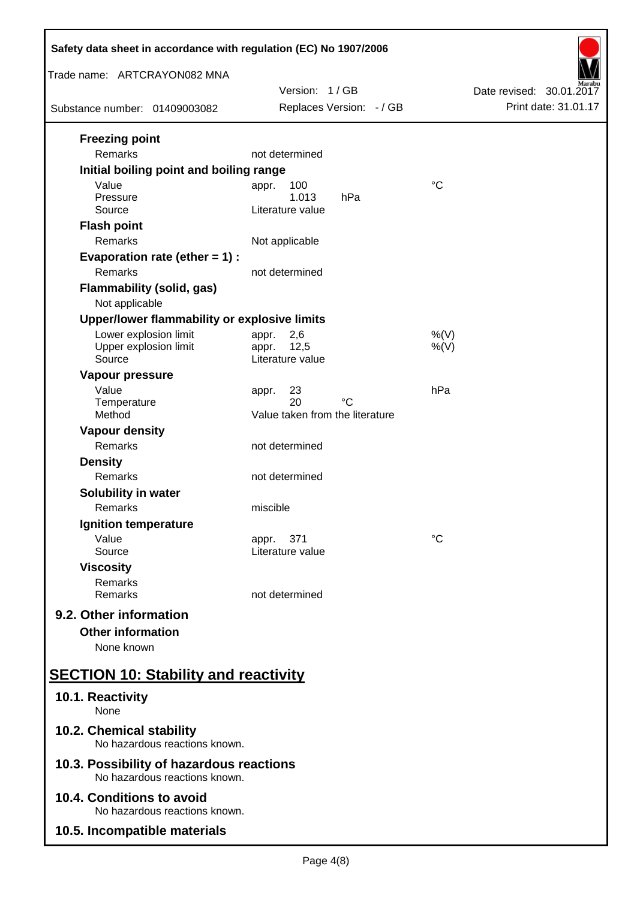| Safety data sheet in accordance with regulation (EC) No 1907/2006         |                                                   |                          |  |  |
|---------------------------------------------------------------------------|---------------------------------------------------|--------------------------|--|--|
| Trade name: ARTCRAYON082 MNA                                              | Version: 1/GB                                     | Date revised: 30.01.2017 |  |  |
| Substance number: 01409003082                                             | Replaces Version: - / GB                          | Print date: 31.01.17     |  |  |
| <b>Freezing point</b><br>Remarks                                          | not determined                                    |                          |  |  |
| Initial boiling point and boiling range<br>Value                          | 100<br>appr.                                      | $\rm ^{\circ}C$          |  |  |
| Pressure<br>Source                                                        | 1.013<br>hPa<br>Literature value                  |                          |  |  |
| <b>Flash point</b><br>Remarks                                             | Not applicable                                    |                          |  |  |
| Evaporation rate (ether $= 1$ ) :<br>Remarks                              | not determined                                    |                          |  |  |
| <b>Flammability (solid, gas)</b><br>Not applicable                        |                                                   |                          |  |  |
| Upper/lower flammability or explosive limits                              |                                                   |                          |  |  |
| Lower explosion limit<br>Upper explosion limit<br>Source                  | 2,6<br>appr.<br>12,5<br>appr.<br>Literature value | $%$ (V)<br>$%$ (V)       |  |  |
| Vapour pressure<br>Value<br>Temperature                                   | 23<br>appr.<br>20<br>°C                           | hPa                      |  |  |
| Method                                                                    | Value taken from the literature                   |                          |  |  |
| <b>Vapour density</b>                                                     |                                                   |                          |  |  |
| Remarks                                                                   | not determined                                    |                          |  |  |
| <b>Density</b><br>Remarks                                                 | not determined                                    |                          |  |  |
| Solubility in water                                                       |                                                   |                          |  |  |
| Remarks                                                                   | miscible                                          |                          |  |  |
| Ignition temperature                                                      |                                                   |                          |  |  |
| Value<br>Source                                                           | 371<br>appr.<br>Literature value                  | °C                       |  |  |
| <b>Viscosity</b><br>Remarks<br>Remarks                                    | not determined                                    |                          |  |  |
| 9.2. Other information                                                    |                                                   |                          |  |  |
| <b>Other information</b><br>None known                                    |                                                   |                          |  |  |
| <b>SECTION 10: Stability and reactivity</b>                               |                                                   |                          |  |  |
| 10.1. Reactivity<br>None                                                  |                                                   |                          |  |  |
| 10.2. Chemical stability<br>No hazardous reactions known.                 |                                                   |                          |  |  |
| 10.3. Possibility of hazardous reactions<br>No hazardous reactions known. |                                                   |                          |  |  |
| 10.4. Conditions to avoid<br>No hazardous reactions known.                |                                                   |                          |  |  |
| 10.5. Incompatible materials                                              |                                                   |                          |  |  |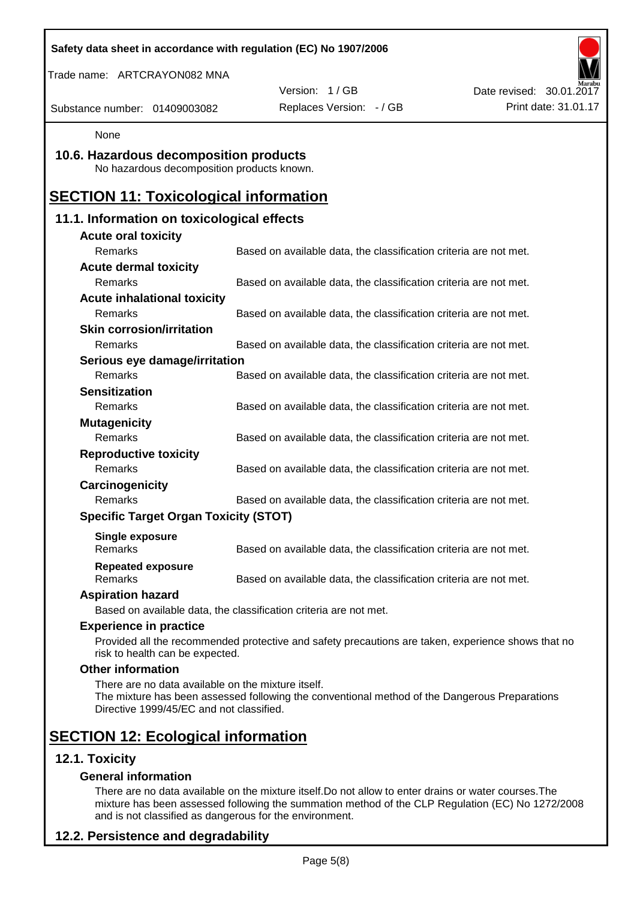| Safety data sheet in accordance with regulation (EC) No 1907/2006                              |                                                                                                    |                          |
|------------------------------------------------------------------------------------------------|----------------------------------------------------------------------------------------------------|--------------------------|
| Trade name: ARTCRAYON082 MNA                                                                   |                                                                                                    |                          |
|                                                                                                | Version: 1/GB                                                                                      | Date revised: 30.01.2017 |
| Substance number: 01409003082                                                                  | Replaces Version: - / GB                                                                           | Print date: 31.01.17     |
| None                                                                                           |                                                                                                    |                          |
| 10.6. Hazardous decomposition products<br>No hazardous decomposition products known.           |                                                                                                    |                          |
| <b>SECTION 11: Toxicological information</b>                                                   |                                                                                                    |                          |
| 11.1. Information on toxicological effects                                                     |                                                                                                    |                          |
| <b>Acute oral toxicity</b>                                                                     |                                                                                                    |                          |
| Remarks                                                                                        | Based on available data, the classification criteria are not met.                                  |                          |
| <b>Acute dermal toxicity</b>                                                                   |                                                                                                    |                          |
| Remarks                                                                                        | Based on available data, the classification criteria are not met.                                  |                          |
| <b>Acute inhalational toxicity</b>                                                             |                                                                                                    |                          |
| Remarks                                                                                        | Based on available data, the classification criteria are not met.                                  |                          |
| <b>Skin corrosion/irritation</b>                                                               |                                                                                                    |                          |
| Remarks                                                                                        | Based on available data, the classification criteria are not met.                                  |                          |
| Serious eye damage/irritation                                                                  |                                                                                                    |                          |
| Remarks                                                                                        | Based on available data, the classification criteria are not met.                                  |                          |
| <b>Sensitization</b>                                                                           |                                                                                                    |                          |
| Remarks                                                                                        | Based on available data, the classification criteria are not met.                                  |                          |
| <b>Mutagenicity</b>                                                                            |                                                                                                    |                          |
| Remarks                                                                                        | Based on available data, the classification criteria are not met.                                  |                          |
| <b>Reproductive toxicity</b>                                                                   |                                                                                                    |                          |
| <b>Remarks</b>                                                                                 | Based on available data, the classification criteria are not met.                                  |                          |
| Carcinogenicity                                                                                |                                                                                                    |                          |
| Remarks                                                                                        | Based on available data, the classification criteria are not met.                                  |                          |
| <b>Specific Target Organ Toxicity (STOT)</b>                                                   |                                                                                                    |                          |
| Single exposure<br>Remarks                                                                     | Based on available data, the classification criteria are not met.                                  |                          |
| <b>Repeated exposure</b><br>Remarks                                                            | Based on available data, the classification criteria are not met.                                  |                          |
| <b>Aspiration hazard</b>                                                                       |                                                                                                    |                          |
|                                                                                                | Based on available data, the classification criteria are not met.                                  |                          |
| <b>Experience in practice</b>                                                                  |                                                                                                    |                          |
| risk to health can be expected.                                                                | Provided all the recommended protective and safety precautions are taken, experience shows that no |                          |
| <b>Other information</b>                                                                       |                                                                                                    |                          |
| There are no data available on the mixture itself.<br>Directive 1999/45/EC and not classified. | The mixture has been assessed following the conventional method of the Dangerous Preparations      |                          |
| <b>SECTION 12: Ecological information</b>                                                      |                                                                                                    |                          |
| 12.1. Toxicity                                                                                 |                                                                                                    |                          |
| <b>General information</b>                                                                     |                                                                                                    |                          |

There are no data available on the mixture itself.Do not allow to enter drains or water courses.The mixture has been assessed following the summation method of the CLP Regulation (EC) No 1272/2008 and is not classified as dangerous for the environment.

# **12.2. Persistence and degradability**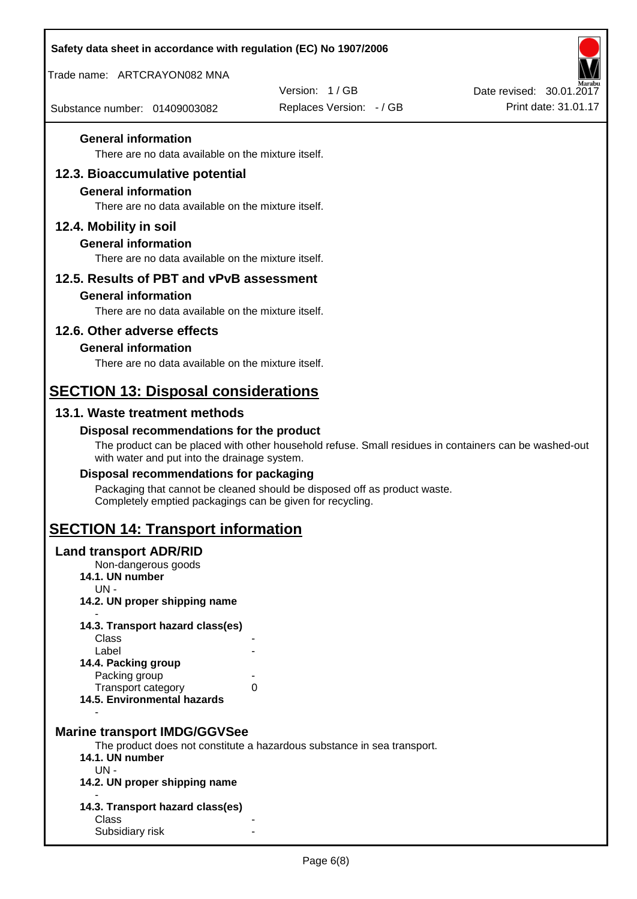| Safety data sheet in accordance with regulation (EC) No 1907/2006                                                  |                                                                                                       |                          |
|--------------------------------------------------------------------------------------------------------------------|-------------------------------------------------------------------------------------------------------|--------------------------|
| Trade name: ARTCRAYON082 MNA                                                                                       |                                                                                                       |                          |
|                                                                                                                    | Version: 1/GB                                                                                         | Date revised: 30.01.2017 |
| Substance number: 01409003082                                                                                      | Replaces Version: - / GB                                                                              | Print date: 31.01.17     |
| <b>General information</b><br>There are no data available on the mixture itself.                                   |                                                                                                       |                          |
| 12.3. Bioaccumulative potential                                                                                    |                                                                                                       |                          |
| <b>General information</b><br>There are no data available on the mixture itself.                                   |                                                                                                       |                          |
| 12.4. Mobility in soil                                                                                             |                                                                                                       |                          |
| <b>General information</b><br>There are no data available on the mixture itself.                                   |                                                                                                       |                          |
| 12.5. Results of PBT and vPvB assessment                                                                           |                                                                                                       |                          |
| <b>General information</b><br>There are no data available on the mixture itself.                                   |                                                                                                       |                          |
| 12.6. Other adverse effects                                                                                        |                                                                                                       |                          |
| <b>General information</b>                                                                                         |                                                                                                       |                          |
| There are no data available on the mixture itself.                                                                 |                                                                                                       |                          |
| <b>SECTION 13: Disposal considerations</b>                                                                         |                                                                                                       |                          |
| 13.1. Waste treatment methods                                                                                      |                                                                                                       |                          |
| Disposal recommendations for the product                                                                           |                                                                                                       |                          |
| with water and put into the drainage system.                                                                       | The product can be placed with other household refuse. Small residues in containers can be washed-out |                          |
| Disposal recommendations for packaging                                                                             |                                                                                                       |                          |
| Completely emptied packagings can be given for recycling.                                                          | Packaging that cannot be cleaned should be disposed off as product waste.                             |                          |
| <b>SECTION 14: Transport information</b>                                                                           |                                                                                                       |                          |
| <b>Land transport ADR/RID</b><br>Non-dangerous goods<br>14.1. UN number<br>$UN -$<br>14.2. UN proper shipping name |                                                                                                       |                          |
|                                                                                                                    |                                                                                                       |                          |
| 14.3. Transport hazard class(es)<br>Class                                                                          |                                                                                                       |                          |
| Label                                                                                                              |                                                                                                       |                          |
| 14.4. Packing group<br>Packing group                                                                               |                                                                                                       |                          |
| Transport category                                                                                                 | 0                                                                                                     |                          |
| 14.5. Environmental hazards                                                                                        |                                                                                                       |                          |
| <b>Marine transport IMDG/GGVSee</b><br>14.1. UN number<br>$UN -$<br>14.2. UN proper shipping name                  | The product does not constitute a hazardous substance in sea transport.                               |                          |
| 14.3. Transport hazard class(es)                                                                                   |                                                                                                       |                          |
| Class                                                                                                              |                                                                                                       |                          |
| Subsidiary risk                                                                                                    |                                                                                                       |                          |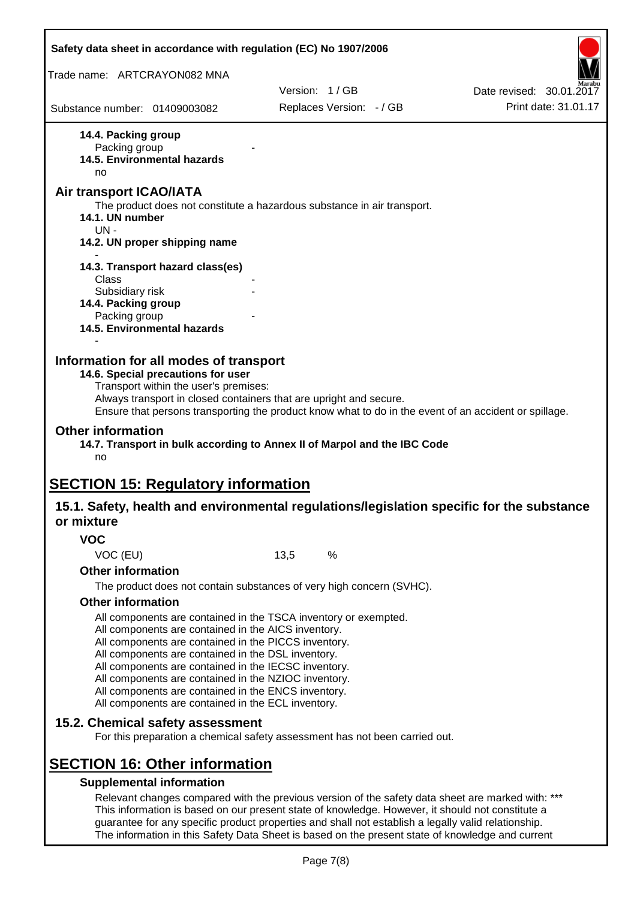| Safety data sheet in accordance with regulation (EC) No 1907/2006                                                                                                                                                                                                                                                                                                                                                                                                                             |      |                          |                          |
|-----------------------------------------------------------------------------------------------------------------------------------------------------------------------------------------------------------------------------------------------------------------------------------------------------------------------------------------------------------------------------------------------------------------------------------------------------------------------------------------------|------|--------------------------|--------------------------|
| Trade name: ARTCRAYON082 MNA                                                                                                                                                                                                                                                                                                                                                                                                                                                                  |      |                          |                          |
|                                                                                                                                                                                                                                                                                                                                                                                                                                                                                               |      | Version: 1/GB            | Date revised: 30.01.2017 |
| Substance number: 01409003082                                                                                                                                                                                                                                                                                                                                                                                                                                                                 |      | Replaces Version: - / GB | Print date: 31.01.17     |
| 14.4. Packing group<br>Packing group<br>14.5. Environmental hazards<br>no                                                                                                                                                                                                                                                                                                                                                                                                                     |      |                          |                          |
| <b>Air transport ICAO/IATA</b><br>The product does not constitute a hazardous substance in air transport.<br>14.1. UN number<br>$UN -$                                                                                                                                                                                                                                                                                                                                                        |      |                          |                          |
| 14.2. UN proper shipping name                                                                                                                                                                                                                                                                                                                                                                                                                                                                 |      |                          |                          |
| 14.3. Transport hazard class(es)<br>Class                                                                                                                                                                                                                                                                                                                                                                                                                                                     |      |                          |                          |
| Subsidiary risk<br>14.4. Packing group<br>Packing group<br>14.5. Environmental hazards                                                                                                                                                                                                                                                                                                                                                                                                        |      |                          |                          |
| Transport within the user's premises:<br>Always transport in closed containers that are upright and secure.<br>Ensure that persons transporting the product know what to do in the event of an accident or spillage.<br><b>Other information</b><br>14.7. Transport in bulk according to Annex II of Marpol and the IBC Code<br>no                                                                                                                                                            |      |                          |                          |
| <b>SECTION 15: Regulatory information</b><br>15.1. Safety, health and environmental regulations/legislation specific for the substance<br>or mixture                                                                                                                                                                                                                                                                                                                                          |      |                          |                          |
| <b>VOC</b>                                                                                                                                                                                                                                                                                                                                                                                                                                                                                    |      |                          |                          |
| VOC (EU)                                                                                                                                                                                                                                                                                                                                                                                                                                                                                      | 13,5 | %                        |                          |
| <b>Other information</b>                                                                                                                                                                                                                                                                                                                                                                                                                                                                      |      |                          |                          |
| The product does not contain substances of very high concern (SVHC).                                                                                                                                                                                                                                                                                                                                                                                                                          |      |                          |                          |
| <b>Other information</b><br>All components are contained in the TSCA inventory or exempted.<br>All components are contained in the AICS inventory.<br>All components are contained in the PICCS inventory.<br>All components are contained in the DSL inventory.<br>All components are contained in the IECSC inventory.<br>All components are contained in the NZIOC inventory.<br>All components are contained in the ENCS inventory.<br>All components are contained in the ECL inventory. |      |                          |                          |
| 15.2. Chemical safety assessment<br>For this preparation a chemical safety assessment has not been carried out.                                                                                                                                                                                                                                                                                                                                                                               |      |                          |                          |
| <b>SECTION 16: Other information</b>                                                                                                                                                                                                                                                                                                                                                                                                                                                          |      |                          |                          |
| <b>Supplemental information</b><br>Relevant changes compared with the previous version of the safety data sheet are marked with: ***<br>This information is based on our present state of knowledge. However, it should not constitute a<br>guarantee for any specific product properties and shall not establish a legally valid relationship.                                                                                                                                               |      |                          |                          |

The information in this Safety Data Sheet is based on the present state of knowledge and current